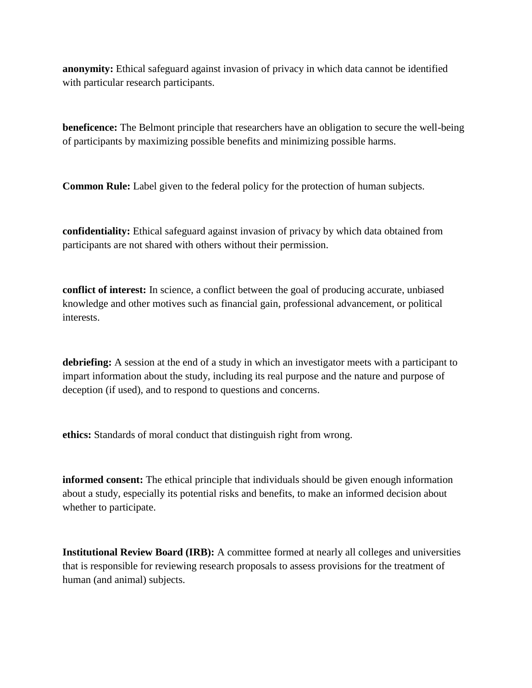**anonymity:** Ethical safeguard against invasion of privacy in which data cannot be identified with particular research participants.

**beneficence:** The Belmont principle that researchers have an obligation to secure the well-being of participants by maximizing possible benefits and minimizing possible harms.

**Common Rule:** Label given to the federal policy for the protection of human subjects.

**confidentiality:** Ethical safeguard against invasion of privacy by which data obtained from participants are not shared with others without their permission.

**conflict of interest:** In science, a conflict between the goal of producing accurate, unbiased knowledge and other motives such as financial gain, professional advancement, or political interests.

**debriefing:** A session at the end of a study in which an investigator meets with a participant to impart information about the study, including its real purpose and the nature and purpose of deception (if used), and to respond to questions and concerns.

**ethics:** Standards of moral conduct that distinguish right from wrong.

**informed consent:** The ethical principle that individuals should be given enough information about a study, especially its potential risks and benefits, to make an informed decision about whether to participate.

**Institutional Review Board (IRB):** A committee formed at nearly all colleges and universities that is responsible for reviewing research proposals to assess provisions for the treatment of human (and animal) subjects.